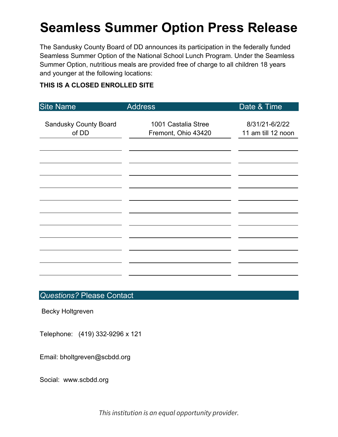# **Seamless Summer Option Press Release**

The Sandusky County Board of DD announces its participation in the federally funded Seamless Summer Option of the National School Lunch Program. Under the Seamless Summer Option, nutritious meals are provided free of charge to all children 18 years and younger at the following locations:

### **THIS IS A CLOSED ENROLLED SITE**

| <b>Address</b> | Date & Time                                |
|----------------|--------------------------------------------|
|                |                                            |
|                | 8/31/21-6/2/22<br>11 am till 12 noon       |
|                |                                            |
|                |                                            |
|                |                                            |
|                |                                            |
|                |                                            |
|                |                                            |
|                |                                            |
|                |                                            |
|                |                                            |
|                |                                            |
|                |                                            |
|                |                                            |
|                |                                            |
|                | 1001 Castalia Stree<br>Fremont, Ohio 43420 |

## *Questions?* Please Contact

Becky Holtgreven

Telephone: (419) 332-9296 x 121

Email: bholtgreven@scbdd.org

Social: www.scbdd.org

*This institution is an equal opportunity provider.*